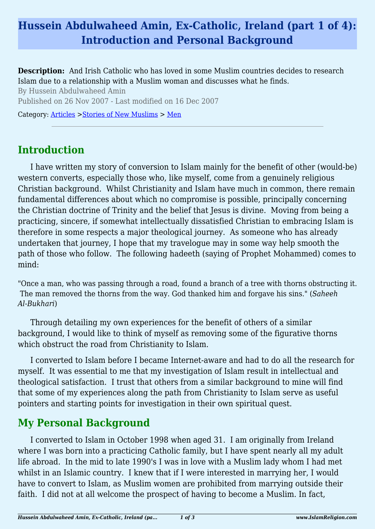# **Hussein Abdulwaheed Amin, Ex-Catholic, Ireland (part 1 of 4): Introduction and Personal Background**

**Description:** And Irish Catholic who has loved in some Muslim countries decides to research Islam due to a relationship with a Muslim woman and discusses what he finds. By Hussein Abdulwaheed Amin Published on 26 Nov 2007 - Last modified on 16 Dec 2007 Category: [Articles](http://www.islamreligion.com/articles/) >[Stories of New Muslims](http://www.islamreligion.com/category/63/) > [Men](http://www.islamreligion.com/category/64/)

## **Introduction**

I have written my story of conversion to Islam mainly for the benefit of other (would-be) western converts, especially those who, like myself, come from a genuinely religious Christian background. Whilst Christianity and Islam have much in common, there remain fundamental differences about which no compromise is possible, principally concerning the Christian doctrine of Trinity and the belief that Jesus is divine. Moving from being a practicing, sincere, if somewhat intellectually dissatisfied Christian to embracing Islam is therefore in some respects a major theological journey. As someone who has already undertaken that journey, I hope that my travelogue may in some way help smooth the path of those who follow. The following hadeeth (saying of Prophet Mohammed) comes to mind:

"Once a man, who was passing through a road, found a branch of a tree with thorns obstructing it. The man removed the thorns from the way. God thanked him and forgave his sins." (*Saheeh Al-Bukhari*)

Through detailing my own experiences for the benefit of others of a similar background, I would like to think of myself as removing some of the figurative thorns which obstruct the road from Christianity to Islam.

I converted to Islam before I became Internet-aware and had to do all the research for myself. It was essential to me that my investigation of Islam result in intellectual and theological satisfaction. I trust that others from a similar background to mine will find that some of my experiences along the path from Christianity to Islam serve as useful pointers and starting points for investigation in their own spiritual quest.

## **My Personal Background**

I converted to Islam in October 1998 when aged 31. I am originally from Ireland where I was born into a practicing Catholic family, but I have spent nearly all my adult life abroad. In the mid to late 1990's I was in love with a Muslim lady whom I had met whilst in an Islamic country. I knew that if I were interested in marrying her, I would have to convert to Islam, as Muslim women are prohibited from marrying outside their faith. I did not at all welcome the prospect of having to become a Muslim. In fact,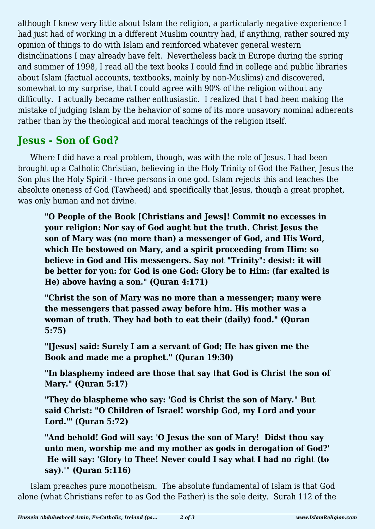although I knew very little about Islam the religion, a particularly negative experience I had just had of working in a different Muslim country had, if anything, rather soured my opinion of things to do with Islam and reinforced whatever general western disinclinations I may already have felt. Nevertheless back in Europe during the spring and summer of 1998, I read all the text books I could find in college and public libraries about Islam (factual accounts, textbooks, mainly by non-Muslims) and discovered, somewhat to my surprise, that I could agree with 90% of the religion without any difficulty. I actually became rather enthusiastic. I realized that I had been making the mistake of judging Islam by the behavior of some of its more unsavory nominal adherents rather than by the theological and moral teachings of the religion itself.

## **Jesus - Son of God?**

Where I did have a real problem, though, was with the role of Jesus. I had been brought up a Catholic Christian, believing in the Holy Trinity of God the Father, Jesus the Son plus the Holy Spirit - three persons in one god. Islam rejects this and teaches the absolute oneness of God (Tawheed) and specifically that Jesus, though a great prophet, was only human and not divine.

**"O People of the Book [Christians and Jews]! Commit no excesses in your religion: Nor say of God aught but the truth. Christ Jesus the son of Mary was (no more than) a messenger of God, and His Word, which He bestowed on Mary, and a spirit proceeding from Him: so believe in God and His messengers. Say not "Trinity": desist: it will be better for you: for God is one God: Glory be to Him: (far exalted is He) above having a son." (Quran 4:171)**

**"Christ the son of Mary was no more than a messenger; many were the messengers that passed away before him. His mother was a woman of truth. They had both to eat their (daily) food." (Quran 5:75)**

**"[Jesus] said: Surely I am a servant of God; He has given me the Book and made me a prophet." (Quran 19:30)**

**"In blasphemy indeed are those that say that God is Christ the son of Mary." (Quran 5:17)**

**"They do blaspheme who say: 'God is Christ the son of Mary." But said Christ: "O Children of Israel! worship God, my Lord and your Lord.'" (Quran 5:72)**

**"And behold! God will say: 'O Jesus the son of Mary! Didst thou say unto men, worship me and my mother as gods in derogation of God?' He will say: 'Glory to Thee! Never could I say what I had no right (to say).'" (Quran 5:116)**

Islam preaches pure monotheism. The absolute fundamental of Islam is that God alone (what Christians refer to as God the Father) is the sole deity. Surah 112 of the